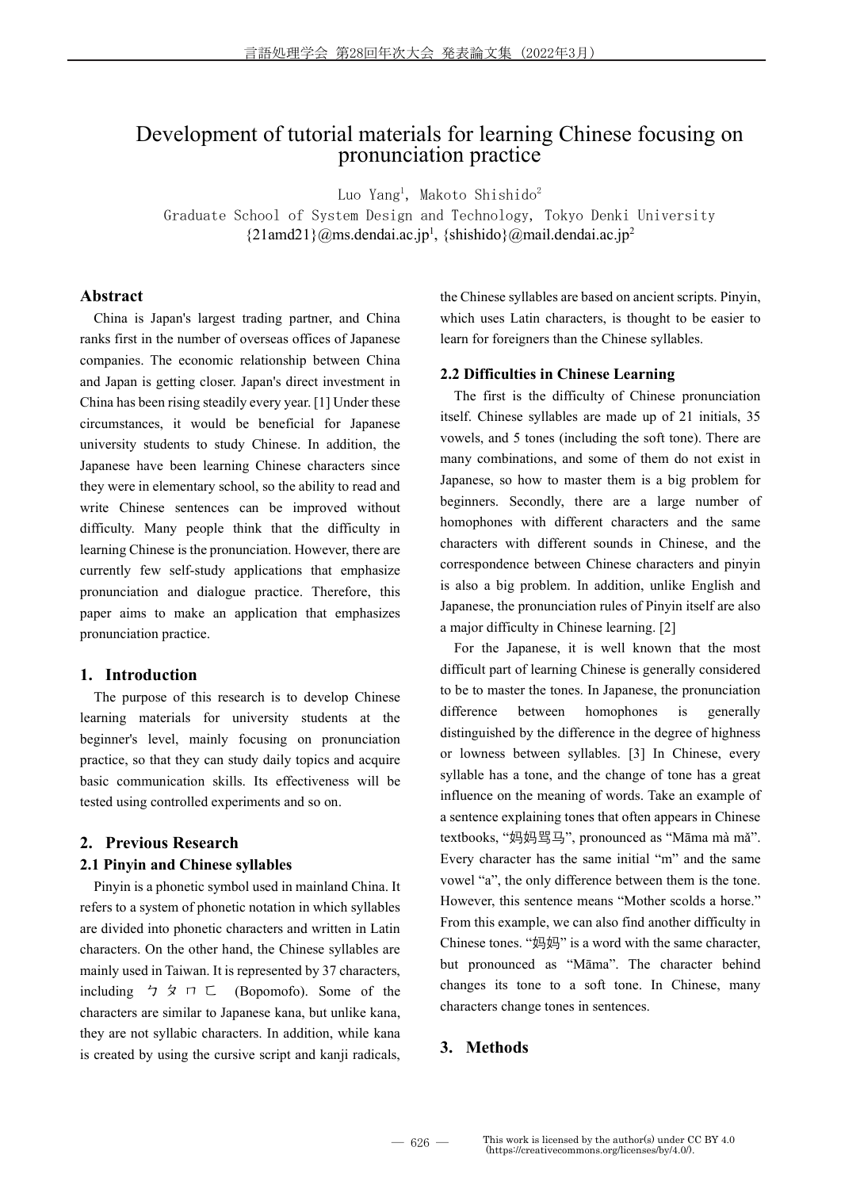## Development of tutorial materials for learning Chinese focusing on pronunciation practice

Luo Yang<sup>1</sup>, Makoto Shishido<sup>2</sup>

Graduate School of System Design and Technology, Tokyo Denki University  ${21}$ amd21}@ms.dendai.ac.jp<sup>1</sup>, {shishido}@mail.dendai.ac.jp<sup>2</sup>

#### Abstract

China is Japan's largest trading partner, and China ranks first in the number of overseas offices of Japanese companies. The economic relationship between China and Japan is getting closer. Japan's direct investment in China has been rising steadily every year. [1] Under these circumstances, it would be beneficial for Japanese university students to study Chinese. In addition, the Japanese have been learning Chinese characters since they were in elementary school, so the ability to read and write Chinese sentences can be improved without difficulty. Many people think that the difficulty in learning Chinese is the pronunciation. However, there are currently few self-study applications that emphasize pronunciation and dialogue practice. Therefore, this paper aims to make an application that emphasizes pronunciation practice.

#### 1. Introduction

The purpose of this research is to develop Chinese learning materials for university students at the beginner's level, mainly focusing on pronunciation practice, so that they can study daily topics and acquire basic communication skills. Its effectiveness will be tested using controlled experiments and so on.

#### 2. Previous Research

#### 2.1 Pinyin and Chinese syllables

Pinyin is a phonetic symbol used in mainland China. It refers to a system of phonetic notation in which syllables are divided into phonetic characters and written in Latin characters. On the other hand, the Chinese syllables are mainly used in Taiwan. It is represented by 37 characters, including  $\gamma \circ \pi \subset \Gamma$  (Bopomofo). Some of the characters are similar to Japanese kana, but unlike kana, they are not syllabic characters. In addition, while kana is created by using the cursive script and kanji radicals,

the Chinese syllables are based on ancient scripts. Pinyin, which uses Latin characters, is thought to be easier to learn for foreigners than the Chinese syllables.

#### 2.2 Difficulties in Chinese Learning

The first is the difficulty of Chinese pronunciation itself. Chinese syllables are made up of 21 initials, 35 vowels, and 5 tones (including the soft tone). There are many combinations, and some of them do not exist in Japanese, so how to master them is a big problem for beginners. Secondly, there are a large number of homophones with different characters and the same characters with different sounds in Chinese, and the correspondence between Chinese characters and pinyin is also a big problem. In addition, unlike English and Japanese, the pronunciation rules of Pinyin itself are also a major difficulty in Chinese learning. [2]

For the Japanese, it is well known that the most difficult part of learning Chinese is generally considered to be to master the tones. In Japanese, the pronunciation difference between homophones is generally distinguished by the difference in the degree of highness or lowness between syllables. [3] In Chinese, every syllable has a tone, and the change of tone has a great influence on the meaning of words. Take an example of a sentence explaining tones that often appears in Chinese textbooks, "妈妈骂马", pronounced as "Māma mà mǎ". Every character has the same initial "m" and the same vowel "a", the only difference between them is the tone. However, this sentence means "Mother scolds a horse." From this example, we can also find another difficulty in Chinese tones. "妈妈" is a word with the same character, but pronounced as "Māma". The character behind changes its tone to a soft tone. In Chinese, many characters change tones in sentences.

### 3. Methods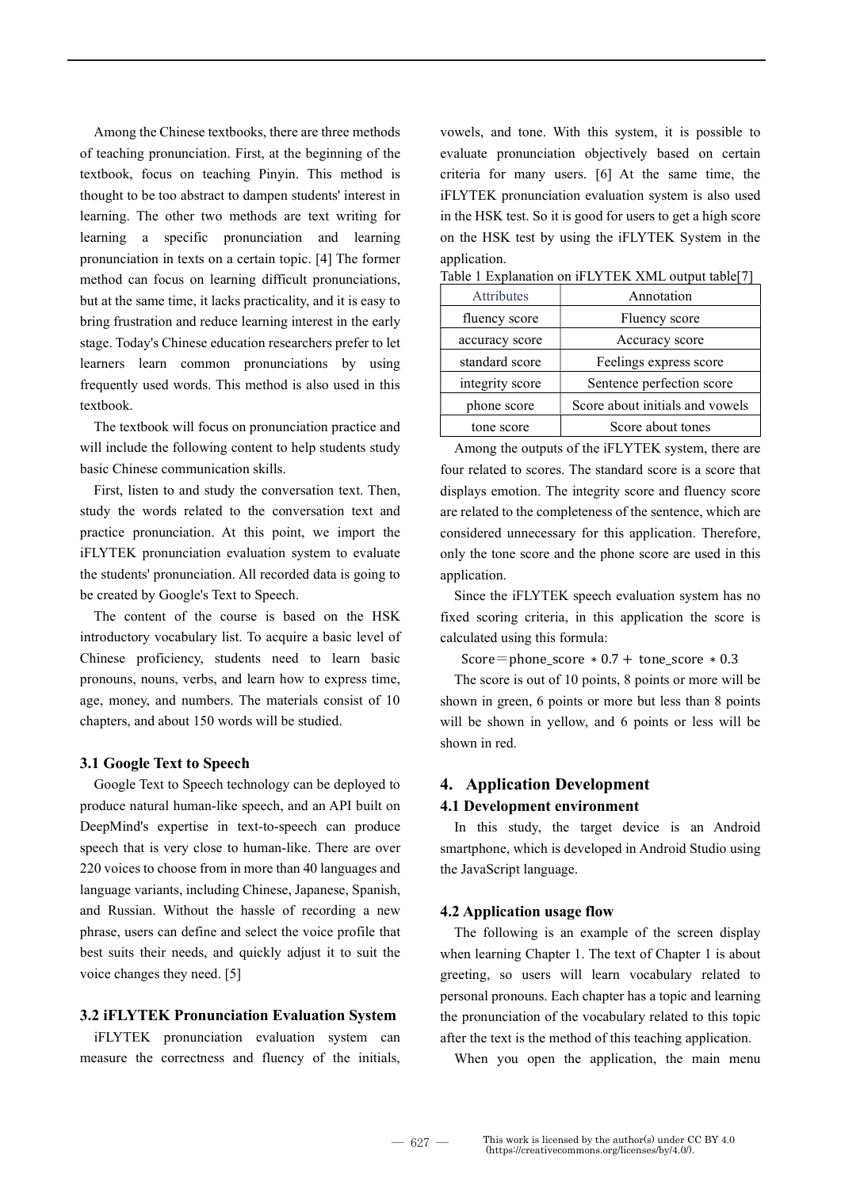Among the Chinese textbooks, there are three methods of teaching pronunciation. First, at the beginning of the textbook, focus on teaching Pinyin. This method is thought to be too abstract to dampen students' interest in learning. The other two methods are text writing for learning a specific pronunciation and learning pronunciation in texts on a certain topic. [4] The former method can focus on learning difficult pronunciations, but at the same time, it lacks practicality, and it is easy to bring frustration and reduce learning interest in the early stage. Today's Chinese education researchers prefer to let learners learn common pronunciations by using frequently used words. This method is also used in this textbook.

The textbook will focus on pronunciation practice and will include the following content to help students study basic Chinese communication skills.

First, listen to and study the conversation text. Then, study the words related to the conversation text and practice pronunciation. At this point, we import the iFLYTEK pronunciation evaluation system to evaluate the students' pronunciation. All recorded data is going to be created by Google's Text to Speech.

The content of the course is based on the HSK introductory vocabulary list. To acquire a basic level of Chinese proficiency, students need to learn basic pronouns, nouns, verbs, and learn how to express time, age, money, and numbers. The materials consist of 10 chapters, and about 150 words will be studied.

#### 3.1 Google Text to Speech

Google Text to Speech technology can be deployed to produce natural human-like speech, and an API built on DeepMind's expertise in text-to-speech can produce speech that is very close to human-like. There are over 220 voices to choose from in more than 40 languages and language variants, including Chinese, Japanese, Spanish, and Russian. Without the hassle of recording a new phrase, users can define and select the voice profile that best suits their needs, and quickly adjust it to suit the voice changes they need. [5]

#### 3.2 iFLYTEK Pronunciation Evaluation System

iFLYTEK pronunciation evaluation system can measure the correctness and fluency of the initials, vowels, and tone. With this system, it is possible to evaluate pronunciation objectively based on certain criteria for many users. [6] At the same time, the iFLYTEK pronunciation evaluation system is also used in the HSK test. So it is good for users to get a high score on the HSK test by using the iFLYTEK System in the application.

| Attributes      | Annotation                      |
|-----------------|---------------------------------|
| fluency score   | Fluency score                   |
| accuracy score  | Accuracy score                  |
| standard score  | Feelings express score          |
| integrity score | Sentence perfection score       |
| phone score     | Score about initials and vowels |
| tone score      | Score about tones               |

Table 1 Explanation on iFLYTEK XML output table[7]

Among the outputs of the iFLYTEK system, there are four related to scores. The standard score is a score that displays emotion. The integrity score and fluency score are related to the completeness of the sentence, which are considered unnecessary for this application. Therefore, only the tone score and the phone score are used in this application.

Since the iFLYTEK speech evaluation system has no fixed scoring criteria, in this application the score is calculated using this formula:

Score=phone\_score  $* 0.7 +$  tone\_score  $* 0.3$ 

The score is out of 10 points, 8 points or more will be shown in green, 6 points or more but less than 8 points will be shown in yellow, and 6 points or less will be shown in red.

# 4. Application Development

## 4.1 Development environment

In this study, the target device is an Android smartphone, which is developed in Android Studio using the JavaScript language.

#### 4.2 Application usage flow

The following is an example of the screen display when learning Chapter 1. The text of Chapter 1 is about greeting, so users will learn vocabulary related to personal pronouns. Each chapter has a topic and learning the pronunciation of the vocabulary related to this topic after the text is the method of this teaching application.

When you open the application, the main menu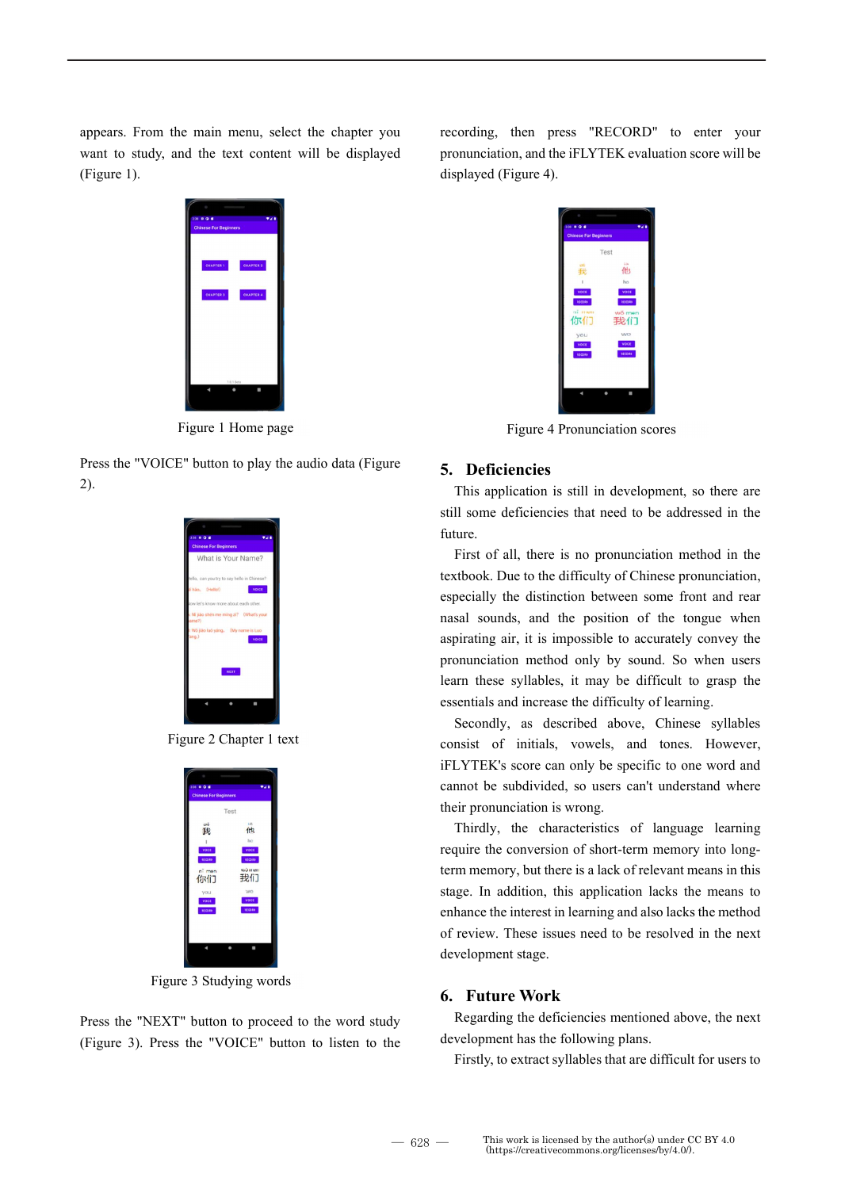appears. From the main menu, select the chapter you want to study, and the text content will be displayed (Figure 1).

| 338 0 0 8                                                                                                                                                                                                                                                                                                                                                                                                                                                                  |                  | 7.08 |
|----------------------------------------------------------------------------------------------------------------------------------------------------------------------------------------------------------------------------------------------------------------------------------------------------------------------------------------------------------------------------------------------------------------------------------------------------------------------------|------------------|------|
| <b>Chinese For Beginners</b>                                                                                                                                                                                                                                                                                                                                                                                                                                               |                  |      |
|                                                                                                                                                                                                                                                                                                                                                                                                                                                                            |                  |      |
|                                                                                                                                                                                                                                                                                                                                                                                                                                                                            |                  |      |
|                                                                                                                                                                                                                                                                                                                                                                                                                                                                            |                  |      |
| CHAPTER 1                                                                                                                                                                                                                                                                                                                                                                                                                                                                  | <b>CHAPTER 2</b> |      |
| $\frac{1}{2} \left( \frac{1}{2} \right) \left( \frac{1}{2} \right) \left( \frac{1}{2} \right) \left( \frac{1}{2} \right) \left( \frac{1}{2} \right) \left( \frac{1}{2} \right) \left( \frac{1}{2} \right) \left( \frac{1}{2} \right) \left( \frac{1}{2} \right) \left( \frac{1}{2} \right) \left( \frac{1}{2} \right) \left( \frac{1}{2} \right) \left( \frac{1}{2} \right) \left( \frac{1}{2} \right) \left( \frac{1}{2} \right) \left( \frac{1}{2} \right) \left( \frac$ |                  |      |
|                                                                                                                                                                                                                                                                                                                                                                                                                                                                            |                  |      |
| CHAPTER 3                                                                                                                                                                                                                                                                                                                                                                                                                                                                  | CHAPTER 4        |      |
|                                                                                                                                                                                                                                                                                                                                                                                                                                                                            |                  |      |
|                                                                                                                                                                                                                                                                                                                                                                                                                                                                            |                  |      |
|                                                                                                                                                                                                                                                                                                                                                                                                                                                                            |                  |      |
|                                                                                                                                                                                                                                                                                                                                                                                                                                                                            |                  |      |
|                                                                                                                                                                                                                                                                                                                                                                                                                                                                            |                  |      |
|                                                                                                                                                                                                                                                                                                                                                                                                                                                                            |                  |      |
|                                                                                                                                                                                                                                                                                                                                                                                                                                                                            |                  |      |
|                                                                                                                                                                                                                                                                                                                                                                                                                                                                            |                  |      |
|                                                                                                                                                                                                                                                                                                                                                                                                                                                                            |                  |      |
|                                                                                                                                                                                                                                                                                                                                                                                                                                                                            | 1.0.1 Eeta       |      |
|                                                                                                                                                                                                                                                                                                                                                                                                                                                                            |                  |      |
|                                                                                                                                                                                                                                                                                                                                                                                                                                                                            |                  |      |

Figure 1 Home page

Press the "VOICE" button to play the audio data (Figure 2).



Figure 2 Chapter 1 text

| <b>Chinese For Beginners</b><br>Test<br>10<br>他 |
|-------------------------------------------------|
|                                                 |
|                                                 |
|                                                 |
|                                                 |
|                                                 |
| ho<br>voce                                      |
| <b>HECORN</b>                                   |
| WO ITIET!                                       |
| 我们                                              |
|                                                 |
| wo<br>voct                                      |
| <b>RECORD</b>                                   |
|                                                 |
|                                                 |
|                                                 |
|                                                 |
|                                                 |
|                                                 |

Figure 3 Studying words

Press the "NEXT" button to proceed to the word study (Figure 3). Press the "VOICE" button to listen to the recording, then press "RECORD" to enter your pronunciation, and the iFLYTEK evaluation score will be displayed (Figure 4).



Figure 4 Pronunciation scores

#### 5. Deficiencies

This application is still in development, so there are still some deficiencies that need to be addressed in the future.

First of all, there is no pronunciation method in the textbook. Due to the difficulty of Chinese pronunciation, especially the distinction between some front and rear nasal sounds, and the position of the tongue when aspirating air, it is impossible to accurately convey the pronunciation method only by sound. So when users learn these syllables, it may be difficult to grasp the essentials and increase the difficulty of learning.

Secondly, as described above, Chinese syllables consist of initials, vowels, and tones. However, iFLYTEK's score can only be specific to one word and cannot be subdivided, so users can't understand where their pronunciation is wrong.

Thirdly, the characteristics of language learning require the conversion of short-term memory into longterm memory, but there is a lack of relevant means in this stage. In addition, this application lacks the means to enhance the interest in learning and also lacks the method of review. These issues need to be resolved in the next development stage.

#### 6. Future Work

Regarding the deficiencies mentioned above, the next development has the following plans.

Firstly, to extract syllables that are difficult for users to